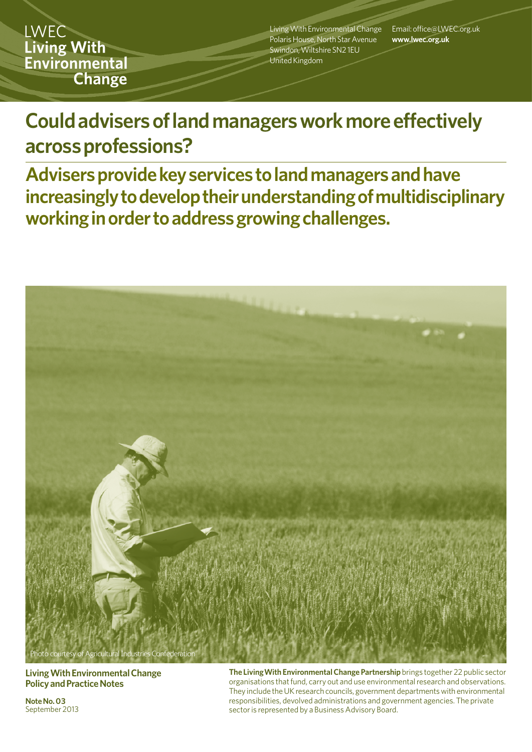**LWEC Living With** Environmental **Change** 

Living With Environmental Change Polaris House, North Star Avenue Swindon, Wiltshire SN2 1EU United Kingdom

Email: office@LWEC.org.uk **www.lwec.org.uk**

# **Could advisers of land managers work more effectively across professions?**

**Advisers provide key services to land managers and have increasingly to develop their understandingof multidisciplinary working in order to address growing challenges.**



**Living With Environmental Change Policy and Practice Notes**

**Note No. 03**  September 2013 **The LivingWith Environmental Change Partnership** brings together 22 public sector organisations that fund, carry out and use environmental research and observations. They include the UK research councils, government departments with environmental responsibilities, devolved administrations and government agencies. The private sector is represented by a Business Advisory Board.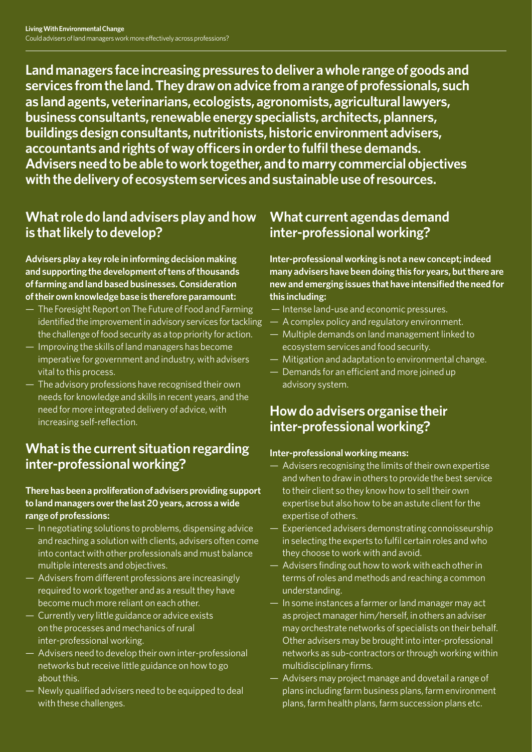**Land managers face increasing pressures to deliver a whole range of goods and services from the land. They draw on advice from a range of professionals, such as land agents, veterinarians, ecologists, agronomists, agricultural lawyers, business consultants, renewable energy specialists, architects, planners, buildings design consultants, nutritionists, historic environment advisers, accountants and rights of way officers in order to fulfil these demands. Advisers need to be able to work together, and to marry commercial objectives with the delivery of ecosystem services and sustainable use of resources.**

### **What role do land advisers play and how is that likely to develop?**

**Advisers play a key role in informing decision making and supporting the development of tens of thousands of farming and land based businesses. Consideration of their own knowledge base is therefore paramount:** 

- The Foresight Report on The Future of Food and Farming identified the improvement in advisory services for tackling the challenge of food security as a top priority for action.
- Improving the skills of land managers has become imperative for government and industry, with advisers vital to this process.
- The advisory professions have recognised their own needs for knowledge and skills in recent years, and the need for more integrated delivery of advice, with increasing self-reflection.

### **What is the current situation regarding inter-professional working?**

#### **There has been a proliferation of advisers providing support to land managers over the last 20 years, across a wide range of professions:**

- In negotiating solutions to problems, dispensing advice and reaching a solution with clients, advisers often come into contact with other professionals and must balance multiple interests and objectives.
- Advisers from different professions are increasingly required to work together and as a result they have become much more reliant on each other.
- Currently very little guidance or advice exists on the processes and mechanics of rural inter-professional working.
- Advisers need to develop their own inter-professional networks but receive little guidance on how to go about this.
- Newly qualified advisers need to be equipped to deal with these challenges.

### **What current agendas demand inter-professional working?**

**Inter-professional working is not a new concept; indeed many advisers have been doing this for years, but there are new and emerging issues that have intensified the need for this including:** 

- Intense land-use and economic pressures.
- A complex policy and regulatory environment.
- Multiple demands on land management linked to ecosystem services and food security.
- Mitigation and adaptation to environmental change.
- Demands for an efficient and more joined up advisory system.

### **How do advisers organise their inter-professional working?**

### **Inter-professional working means:**

- Advisers recognising the limits of their own expertise and when to draw in others to provide the best service to their client so they know how to sell their own expertise but also how to be an astute client for the expertise of others.
- Experienced advisers demonstrating connoisseurship in selecting the experts to fulfil certain roles and who they choose to work with and avoid.
- Advisers finding out how to work with each other in terms of roles and methods and reaching a common understanding.
- In some instances a farmer or land manager may act as project manager him/herself, in others an adviser may orchestrate networks of specialists on their behalf. Other advisers may be brought into inter-professional networks as sub-contractors or through working within multidisciplinary firms.
- Advisers may project manage and dovetail a range of plans including farm business plans, farm environment plans, farm health plans, farm succession plans etc.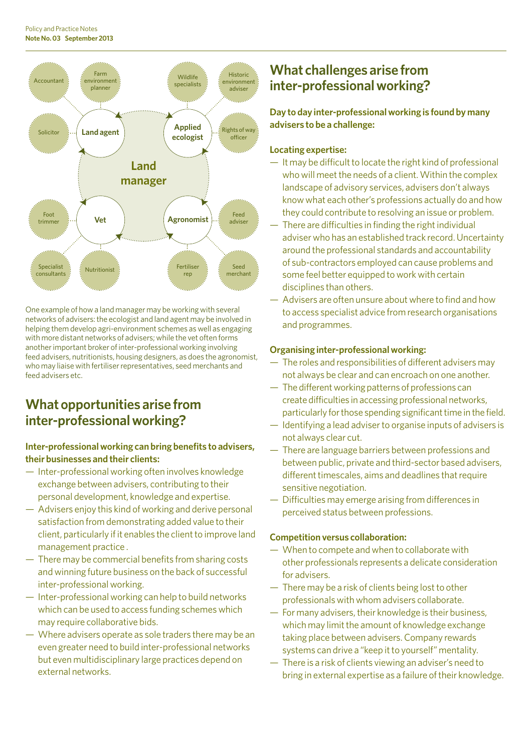

One example of how a land manager may be working with several networks of advisers: the ecologist and land agent may be involved in helping them develop agri-environment schemes as well as engaging with more distant networks of advisers; while the vet often forms another important broker of inter-professional working involving feed advisers, nutritionists, housing designers, as does the agronomist, who may liaise with fertiliser representatives, seed merchants and feed advisers etc.

### **What opportunities arise from inter-professional working?**

### **Inter-professional working can bring benefits to advisers, their businesses and their clients:**

- Inter-professional working often involves knowledge exchange between advisers, contributing to their personal development, knowledge and expertise.
- Advisers enjoy this kind of working and derive personal satisfaction from demonstrating added value to their client, particularly if it enables the client to improve land management practice .
- There may be commercial benefits from sharing costs and winning future business on the back of successful inter-professional working.
- Inter-professional working can help to build networks which can be used to access funding schemes which may require collaborative bids.
- Where advisers operate as sole traders there may be an even greater need to build inter-professional networks but even multidisciplinary large practices depend on external networks.

### **What challenges arise from inter-professional working?**

**Day to day inter-professional working is found by many advisers to be a challenge:**

#### **Locating expertise:**

- It may be difficult to locate the right kind of professional who will meet the needs of a client. Within the complex landscape of advisory services, advisers don't always know what each other's professions actually do and how they could contribute to resolving an issue or problem.
- There are difficulties in finding the right individual adviser who has an established track record. Uncertainty around the professional standards and accountability of sub-contractors employed can cause problems and some feel better equipped to work with certain disciplines than others.
- Advisers are often unsure about where to find and how to access specialist advice from research organisations and programmes.

### **Organising inter-professional working:**

- The roles and responsibilities of different advisers may not always be clear and can encroach on one another.
- The different working patterns of professions can create difficulties in accessing professional networks, particularly for those spending significant time in the field.
- Identifying a lead adviser to organise inputs of advisers is not always clear cut.
- There are language barriers between professions and between public, private and third-sector based advisers, different timescales, aims and deadlines that require sensitive negotiation.
- Difficulties may emerge arising from differences in perceived status between professions.

### **Competition versus collaboration:**

- When to compete and when to collaborate with other professionals represents a delicate consideration for advisers.
- There may be a risk of clients being lost to other professionals with whom advisers collaborate.
- For many advisers, their knowledge is their business, which may limit the amount of knowledge exchange taking place between advisers. Company rewards systems can drive a "keep it to yourself" mentality.
- There is a risk of clients viewing an adviser's need to bring in external expertise as a failure of their knowledge.